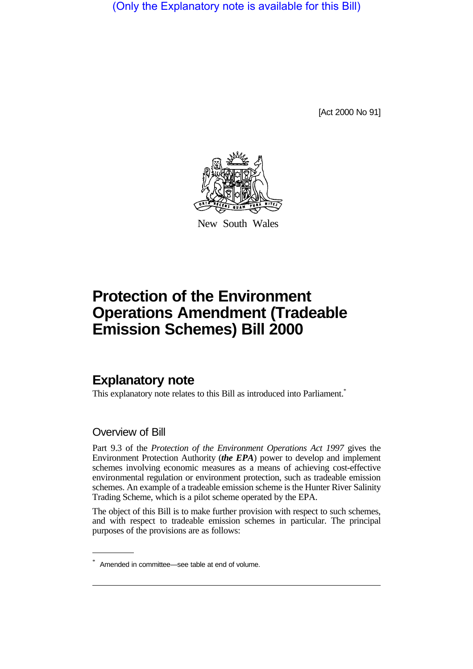(Only the Explanatory note is available for this Bill)

[Act 2000 No 91]



New South Wales

# **Protection of the Environment Operations Amendment (Tradeable Emission Schemes) Bill 2000**

# **Explanatory note**

This explanatory note relates to this Bill as introduced into Parliament.<sup>\*</sup>

### Overview of Bill

Part 9.3 of the *Protection of the Environment Operations Act 1997* gives the Environment Protection Authority (*the EPA*) power to develop and implement schemes involving economic measures as a means of achieving cost-effective environmental regulation or environment protection, such as tradeable emission schemes. An example of a tradeable emission scheme is the Hunter River Salinity Trading Scheme, which is a pilot scheme operated by the EPA.

The object of this Bill is to make further provision with respect to such schemes, and with respect to tradeable emission schemes in particular. The principal purposes of the provisions are as follows:

<sup>\*</sup> Amended in committee—see table at end of volume.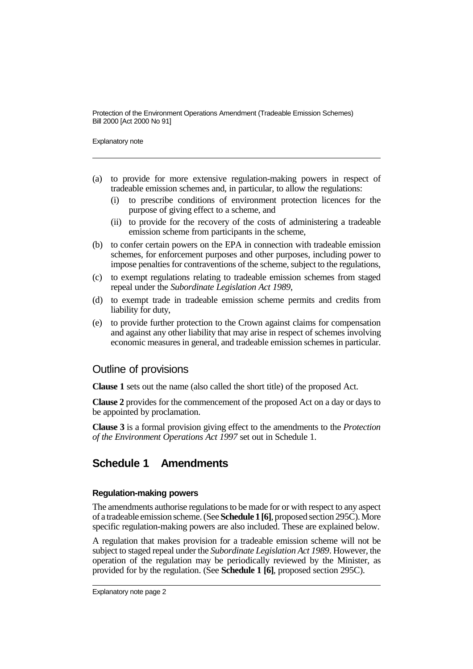Explanatory note

- (a) to provide for more extensive regulation-making powers in respect of tradeable emission schemes and, in particular, to allow the regulations:
	- (i) to prescribe conditions of environment protection licences for the purpose of giving effect to a scheme, and
	- (ii) to provide for the recovery of the costs of administering a tradeable emission scheme from participants in the scheme,
- (b) to confer certain powers on the EPA in connection with tradeable emission schemes, for enforcement purposes and other purposes, including power to impose penalties for contraventions of the scheme, subject to the regulations,
- (c) to exempt regulations relating to tradeable emission schemes from staged repeal under the *Subordinate Legislation Act 1989*,
- (d) to exempt trade in tradeable emission scheme permits and credits from liability for duty,
- (e) to provide further protection to the Crown against claims for compensation and against any other liability that may arise in respect of schemes involving economic measures in general, and tradeable emission schemes in particular.

### Outline of provisions

**Clause 1** sets out the name (also called the short title) of the proposed Act.

**Clause 2** provides for the commencement of the proposed Act on a day or days to be appointed by proclamation.

**Clause 3** is a formal provision giving effect to the amendments to the *Protection of the Environment Operations Act 1997* set out in Schedule 1.

# **Schedule 1 Amendments**

#### **Regulation-making powers**

The amendments authorise regulations to be made for or with respect to any aspect of a tradeable emission scheme. (See **Schedule 1 [6]**, proposed section 295C). More specific regulation-making powers are also included. These are explained below.

A regulation that makes provision for a tradeable emission scheme will not be subject to staged repeal under the *Subordinate Legislation Act 1989*. However, the operation of the regulation may be periodically reviewed by the Minister, as provided for by the regulation. (See **Schedule 1 [6]**, proposed section 295C).

Explanatory note page 2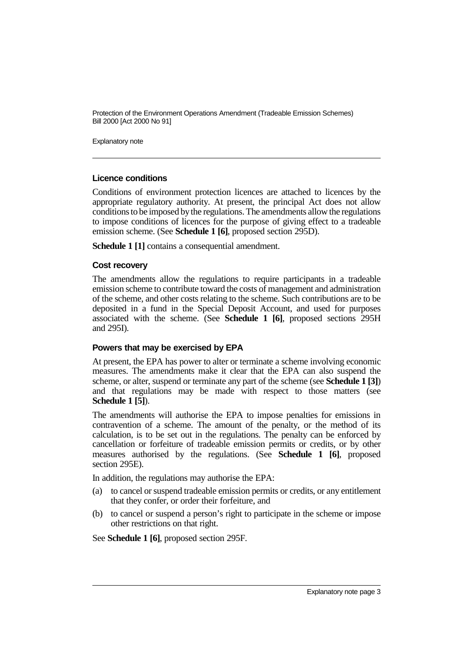Explanatory note

#### **Licence conditions**

Conditions of environment protection licences are attached to licences by the appropriate regulatory authority. At present, the principal Act does not allow conditions to be imposed by the regulations. The amendments allow the regulations to impose conditions of licences for the purpose of giving effect to a tradeable emission scheme. (See **Schedule 1 [6]**, proposed section 295D).

**Schedule 1 [1]** contains a consequential amendment.

#### **Cost recovery**

The amendments allow the regulations to require participants in a tradeable emission scheme to contribute toward the costs of management and administration of the scheme, and other costs relating to the scheme. Such contributions are to be deposited in a fund in the Special Deposit Account, and used for purposes associated with the scheme. (See **Schedule 1 [6]**, proposed sections 295H and 295I).

#### **Powers that may be exercised by EPA**

At present, the EPA has power to alter or terminate a scheme involving economic measures. The amendments make it clear that the EPA can also suspend the scheme, or alter, suspend or terminate any part of the scheme (see **Schedule 1 [3]**) and that regulations may be made with respect to those matters (see **Schedule 1 [5]**).

The amendments will authorise the EPA to impose penalties for emissions in contravention of a scheme. The amount of the penalty, or the method of its calculation, is to be set out in the regulations. The penalty can be enforced by cancellation or forfeiture of tradeable emission permits or credits, or by other measures authorised by the regulations. (See **Schedule 1 [6]**, proposed section 295E).

In addition, the regulations may authorise the EPA:

- (a) to cancel or suspend tradeable emission permits or credits, or any entitlement that they confer, or order their forfeiture, and
- (b) to cancel or suspend a person's right to participate in the scheme or impose other restrictions on that right.

See **Schedule 1 [6]**, proposed section 295F.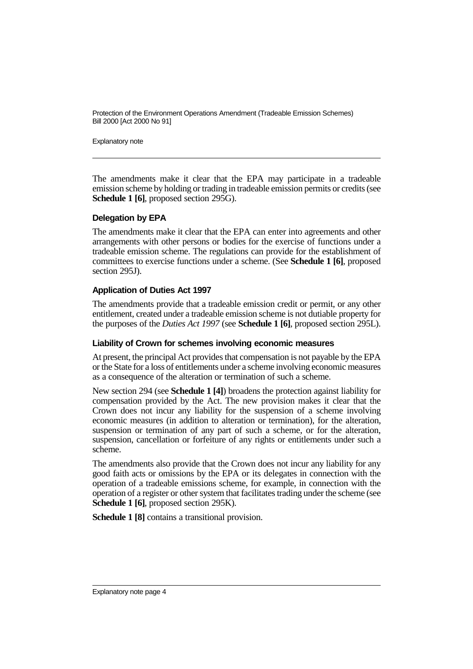Explanatory note

The amendments make it clear that the EPA may participate in a tradeable emission scheme by holding or trading in tradeable emission permits or credits (see **Schedule 1 [6]**, proposed section 295G).

#### **Delegation by EPA**

The amendments make it clear that the EPA can enter into agreements and other arrangements with other persons or bodies for the exercise of functions under a tradeable emission scheme. The regulations can provide for the establishment of committees to exercise functions under a scheme. (See **Schedule 1 [6]**, proposed section 295J).

#### **Application of Duties Act 1997**

The amendments provide that a tradeable emission credit or permit, or any other entitlement, created under a tradeable emission scheme is not dutiable property for the purposes of the *Duties Act 1997* (see **Schedule 1 [6]**, proposed section 295L).

#### **Liability of Crown for schemes involving economic measures**

At present, the principal Act provides that compensation is not payable by the EPA or the State for a loss of entitlements under a scheme involving economic measures as a consequence of the alteration or termination of such a scheme.

New section 294 (see **Schedule 1 [4]**) broadens the protection against liability for compensation provided by the Act. The new provision makes it clear that the Crown does not incur any liability for the suspension of a scheme involving economic measures (in addition to alteration or termination), for the alteration, suspension or termination of any part of such a scheme, or for the alteration, suspension, cancellation or forfeiture of any rights or entitlements under such a scheme.

The amendments also provide that the Crown does not incur any liability for any good faith acts or omissions by the EPA or its delegates in connection with the operation of a tradeable emissions scheme, for example, in connection with the operation of a register or other system that facilitates trading under the scheme (see **Schedule 1 [6]**, proposed section 295K).

**Schedule 1 [8]** contains a transitional provision.